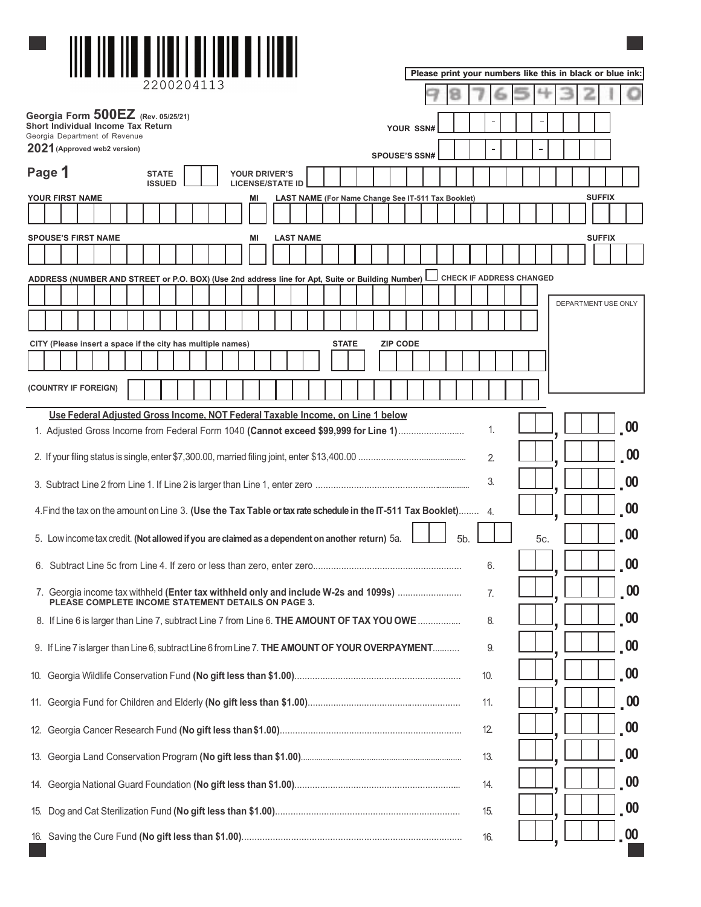|        |                 |                                                                            |  |                               |                                      |  |                                                                                                                                            |                                                 |  |                                                    |              |  |                      |  |                  |     |                                 |     |  | Please print your numbers like this in black or blue ink: |               |                             |
|--------|-----------------|----------------------------------------------------------------------------|--|-------------------------------|--------------------------------------|--|--------------------------------------------------------------------------------------------------------------------------------------------|-------------------------------------------------|--|----------------------------------------------------|--------------|--|----------------------|--|------------------|-----|---------------------------------|-----|--|-----------------------------------------------------------|---------------|-----------------------------|
|        |                 |                                                                            |  |                               |                                      |  |                                                                                                                                            |                                                 |  |                                                    |              |  |                      |  |                  |     |                                 |     |  |                                                           |               |                             |
|        |                 | <b>Short Individual Income Tax Return</b><br>Georgia Department of Revenue |  |                               | Georgia Form $500EZ$ (Rev. 05/25/21) |  |                                                                                                                                            |                                                 |  |                                                    |              |  | YOUR SSN#            |  |                  |     |                                 |     |  |                                                           |               |                             |
|        |                 | 2021 (Approved web2 version)                                               |  |                               |                                      |  |                                                                                                                                            |                                                 |  |                                                    |              |  | <b>SPOUSE'S SSN#</b> |  |                  |     |                                 |     |  |                                                           |               |                             |
| Page 1 |                 |                                                                            |  | <b>STATE</b><br><b>ISSUED</b> |                                      |  |                                                                                                                                            | <b>YOUR DRIVER'S</b><br><b>LICENSE/STATE ID</b> |  |                                                    |              |  |                      |  |                  |     |                                 |     |  |                                                           |               |                             |
|        | YOUR FIRST NAME |                                                                            |  |                               |                                      |  |                                                                                                                                            | ΜI                                              |  | LAST NAME (For Name Change See IT-511 Tax Booklet) |              |  |                      |  |                  |     |                                 |     |  |                                                           | <b>SUFFIX</b> |                             |
|        |                 |                                                                            |  |                               |                                      |  |                                                                                                                                            |                                                 |  |                                                    |              |  |                      |  |                  |     |                                 |     |  |                                                           |               |                             |
|        |                 | <b>SPOUSE'S FIRST NAME</b>                                                 |  |                               |                                      |  |                                                                                                                                            | ΜI                                              |  | <b>LAST NAME</b>                                   |              |  |                      |  |                  |     |                                 |     |  |                                                           | <b>SUFFIX</b> |                             |
|        |                 |                                                                            |  |                               |                                      |  |                                                                                                                                            |                                                 |  |                                                    |              |  |                      |  |                  |     |                                 |     |  |                                                           |               |                             |
|        |                 |                                                                            |  |                               |                                      |  | ADDRESS (NUMBER AND STREET or P.O. BOX) (Use 2nd address line for Apt, Suite or Building Number) L                                         |                                                 |  |                                                    |              |  |                      |  |                  |     | <b>CHECK IF ADDRESS CHANGED</b> |     |  |                                                           |               |                             |
|        |                 |                                                                            |  |                               |                                      |  |                                                                                                                                            |                                                 |  |                                                    |              |  |                      |  |                  |     |                                 |     |  | DEPARTMENT USE ONLY                                       |               |                             |
|        |                 |                                                                            |  |                               |                                      |  |                                                                                                                                            |                                                 |  |                                                    |              |  |                      |  |                  |     |                                 |     |  |                                                           |               |                             |
|        |                 |                                                                            |  |                               |                                      |  | CITY (Please insert a space if the city has multiple names)                                                                                |                                                 |  |                                                    | <b>STATE</b> |  | <b>ZIP CODE</b>      |  |                  |     |                                 |     |  |                                                           |               |                             |
|        |                 |                                                                            |  |                               |                                      |  |                                                                                                                                            |                                                 |  |                                                    |              |  |                      |  |                  |     |                                 |     |  |                                                           |               |                             |
|        |                 | (COUNTRY IF FOREIGN)                                                       |  |                               |                                      |  |                                                                                                                                            |                                                 |  |                                                    |              |  |                      |  |                  |     |                                 |     |  |                                                           |               |                             |
|        |                 |                                                                            |  |                               |                                      |  | Use Federal Adjusted Gross Income, NOT Federal Taxable Income, on Line 1 below                                                             |                                                 |  |                                                    |              |  |                      |  |                  | 1.  |                                 |     |  |                                                           |               | $_{\circ}$ 00               |
|        |                 |                                                                            |  |                               |                                      |  | 1. Adjusted Gross Income from Federal Form 1040 (Cannot exceed \$99,999 for Line 1)                                                        |                                                 |  |                                                    |              |  |                      |  |                  |     |                                 |     |  |                                                           |               |                             |
|        |                 |                                                                            |  |                               |                                      |  |                                                                                                                                            |                                                 |  |                                                    |              |  |                      |  |                  | 2.  |                                 |     |  |                                                           |               | .00                         |
|        |                 |                                                                            |  |                               |                                      |  |                                                                                                                                            |                                                 |  |                                                    |              |  |                      |  |                  | 3.  |                                 |     |  |                                                           |               | .00                         |
|        |                 |                                                                            |  |                               |                                      |  | 4. Find the tax on the amount on Line 3. (Use the Tax Table or tax rate schedule in the IT-511 Tax Booklet) 4.                             |                                                 |  |                                                    |              |  |                      |  |                  |     |                                 |     |  |                                                           |               | $\overline{\phantom{a}}$ 00 |
|        |                 |                                                                            |  |                               |                                      |  | 5. Low income tax credit. (Not allowed if you are claimed as a dependent on another return) 5a.                                            |                                                 |  |                                                    |              |  |                      |  | 5 <sub>b</sub> . |     |                                 | 5c. |  |                                                           |               | $\overline{00}$             |
|        |                 |                                                                            |  |                               |                                      |  |                                                                                                                                            |                                                 |  |                                                    |              |  |                      |  |                  | 6.  |                                 |     |  |                                                           |               | $\overline{00}$             |
|        |                 |                                                                            |  |                               |                                      |  | 7. Georgia income tax withheld (Enter tax withheld only and include W-2s and 1099s)<br>PLEASE COMPLETE INCOME STATEMENT DETAILS ON PAGE 3. |                                                 |  |                                                    |              |  |                      |  |                  | 7.  |                                 |     |  |                                                           |               | .00                         |
|        |                 |                                                                            |  |                               |                                      |  | 8. If Line 6 is larger than Line 7, subtract Line 7 from Line 6. THE AMOUNT OF TAX YOU OWE                                                 |                                                 |  |                                                    |              |  |                      |  |                  | 8.  |                                 |     |  |                                                           |               | $\cdot$ 00                  |
|        |                 |                                                                            |  |                               |                                      |  | 9. If Line 7 is larger than Line 6, subtract Line 6 from Line 7. THE AMOUNT OF YOUR OVERPAYMENT                                            |                                                 |  |                                                    |              |  |                      |  |                  | 9.  |                                 |     |  |                                                           |               | $\overline{\phantom{a}}$ 00 |
|        |                 |                                                                            |  |                               |                                      |  |                                                                                                                                            |                                                 |  |                                                    |              |  |                      |  |                  | 10. |                                 |     |  |                                                           |               | $\overline{\phantom{a}}$ 00 |
|        |                 |                                                                            |  |                               |                                      |  |                                                                                                                                            |                                                 |  |                                                    |              |  |                      |  |                  | 11. |                                 |     |  |                                                           |               | $\sqrt{00}$                 |
|        |                 |                                                                            |  |                               |                                      |  |                                                                                                                                            |                                                 |  |                                                    |              |  |                      |  |                  | 12. |                                 |     |  |                                                           |               | $\overline{\phantom{a}}$ 00 |
|        |                 |                                                                            |  |                               |                                      |  |                                                                                                                                            |                                                 |  |                                                    |              |  |                      |  |                  | 13. |                                 |     |  |                                                           |               | $\overline{\mathbf{00}}$    |
|        |                 |                                                                            |  |                               |                                      |  |                                                                                                                                            |                                                 |  |                                                    |              |  |                      |  |                  | 14. |                                 |     |  |                                                           |               | $\overline{\phantom{a}}$ 00 |
| 15.    |                 |                                                                            |  |                               |                                      |  |                                                                                                                                            |                                                 |  |                                                    |              |  |                      |  |                  | 15. |                                 |     |  |                                                           |               | $\overline{00}$             |
|        |                 |                                                                            |  |                               |                                      |  |                                                                                                                                            |                                                 |  |                                                    |              |  |                      |  |                  | 16. |                                 |     |  |                                                           |               | 00                          |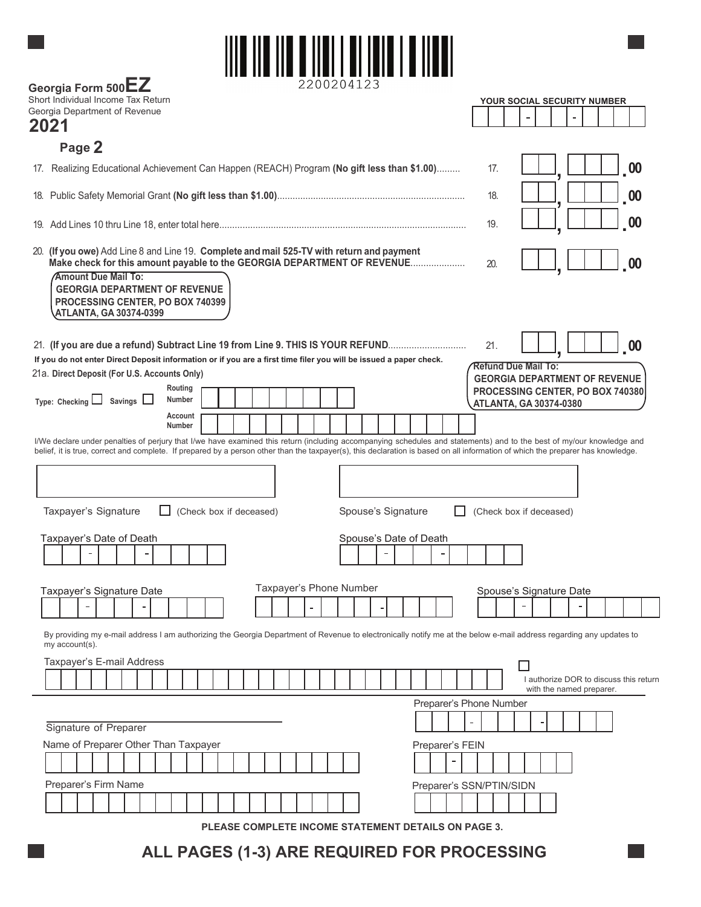

| 2200204123<br>Georgia Form 500EZ                                                                                                                                                                                                                                                                                  |                                                                                                                                |
|-------------------------------------------------------------------------------------------------------------------------------------------------------------------------------------------------------------------------------------------------------------------------------------------------------------------|--------------------------------------------------------------------------------------------------------------------------------|
| Short Individual Income Tax Return<br>Georgia Department of Revenue                                                                                                                                                                                                                                               | YOUR SOCIAL SECURITY NUMBER                                                                                                    |
| 2021                                                                                                                                                                                                                                                                                                              |                                                                                                                                |
| Page 2                                                                                                                                                                                                                                                                                                            |                                                                                                                                |
| 17. Realizing Educational Achievement Can Happen (REACH) Program (No gift less than \$1.00)                                                                                                                                                                                                                       | $_{\circ}$ 00<br>17.                                                                                                           |
|                                                                                                                                                                                                                                                                                                                   | 00<br>18.                                                                                                                      |
|                                                                                                                                                                                                                                                                                                                   | 00<br>19.                                                                                                                      |
| 20. (If you owe) Add Line 8 and Line 19. Complete and mail 525-TV with return and payment<br>Make check for this amount payable to the GEORGIA DEPARTMENT OF REVENUE<br><b>Amount Due Mail To:</b><br><b>GEORGIA DEPARTMENT OF REVENUE</b><br>PROCESSING CENTER, PO BOX 740399<br><b>ATLANTA, GA 30374-0399</b>   | 00<br>20.                                                                                                                      |
| 21. (If you are due a refund) Subtract Line 19 from Line 9. THIS IS YOUR REFUND<br>If you do not enter Direct Deposit information or if you are a first time filer you will be issued a paper check.<br>21a. Direct Deposit (For U.S. Accounts Only)<br>Routing<br>Type: Checking $\Box$ Savings $\Box$<br>Number | 21.<br>$_{\circ}$ 00<br><b>Refund Due Mail To:</b><br><b>GEORGIA DEPARTMENT OF REVENUE</b><br>PROCESSING CENTER, PO BOX 740380 |
| Account                                                                                                                                                                                                                                                                                                           | <b>ATLANTA, GA 30374-0380</b>                                                                                                  |
| Number<br>I/We declare under penalties of perjury that I/we have examined this return (including accompanying schedules and statements) and to the best of my/our knowledge and                                                                                                                                   |                                                                                                                                |
| belief, it is true, correct and complete. If prepared by a person other than the taxpayer(s), this declaration is based on all information of which the preparer has knowledge.                                                                                                                                   |                                                                                                                                |
|                                                                                                                                                                                                                                                                                                                   |                                                                                                                                |
| Spouse's Signature<br>Taxpayer's Signature<br>(Check box if deceased)                                                                                                                                                                                                                                             | (Check box if deceased)                                                                                                        |
| Taxpayer's Date of Death<br>Spouse's Date of Death                                                                                                                                                                                                                                                                |                                                                                                                                |
| Taxpayer's Phone Number<br>Taxpayer's Signature Date                                                                                                                                                                                                                                                              | Spouse's Signature Date                                                                                                        |
|                                                                                                                                                                                                                                                                                                                   | $\overline{a}$                                                                                                                 |
| By providing my e-mail address I am authorizing the Georgia Department of Revenue to electronically notify me at the below e-mail address regarding any updates to<br>my account(s).                                                                                                                              |                                                                                                                                |
| Taxpayer's E-mail Address                                                                                                                                                                                                                                                                                         |                                                                                                                                |
|                                                                                                                                                                                                                                                                                                                   | I authorize DOR to discuss this return<br>with the named preparer.                                                             |
|                                                                                                                                                                                                                                                                                                                   | Preparer's Phone Number                                                                                                        |
| Signature of Preparer                                                                                                                                                                                                                                                                                             |                                                                                                                                |
| Name of Preparer Other Than Taxpayer<br>Preparer's FEIN                                                                                                                                                                                                                                                           |                                                                                                                                |
|                                                                                                                                                                                                                                                                                                                   |                                                                                                                                |
| Preparer's Firm Name                                                                                                                                                                                                                                                                                              | Preparer's SSN/PTIN/SIDN                                                                                                       |
|                                                                                                                                                                                                                                                                                                                   |                                                                                                                                |

**PLEASE COMPLETE INCOME STATEMENT DETAILS ON PAGE 3.**

## **ALL PAGES (1-3) ARE REQUIRED FOR PROCESSING**